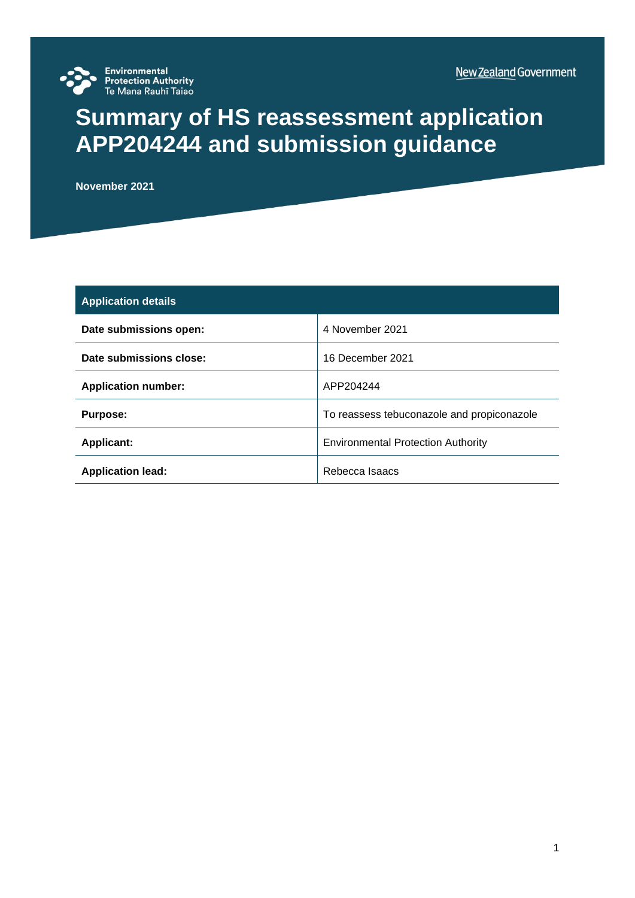

# **Summary of HS reassessment application APP204244 and submission guidance**

**November 2021**

| <b>Application details</b> |                                            |
|----------------------------|--------------------------------------------|
| Date submissions open:     | 4 November 2021                            |
| Date submissions close:    | 16 December 2021                           |
| <b>Application number:</b> | APP204244                                  |
| <b>Purpose:</b>            | To reassess tebuconazole and propiconazole |
| <b>Applicant:</b>          | <b>Environmental Protection Authority</b>  |
| <b>Application lead:</b>   | Rebecca Isaacs                             |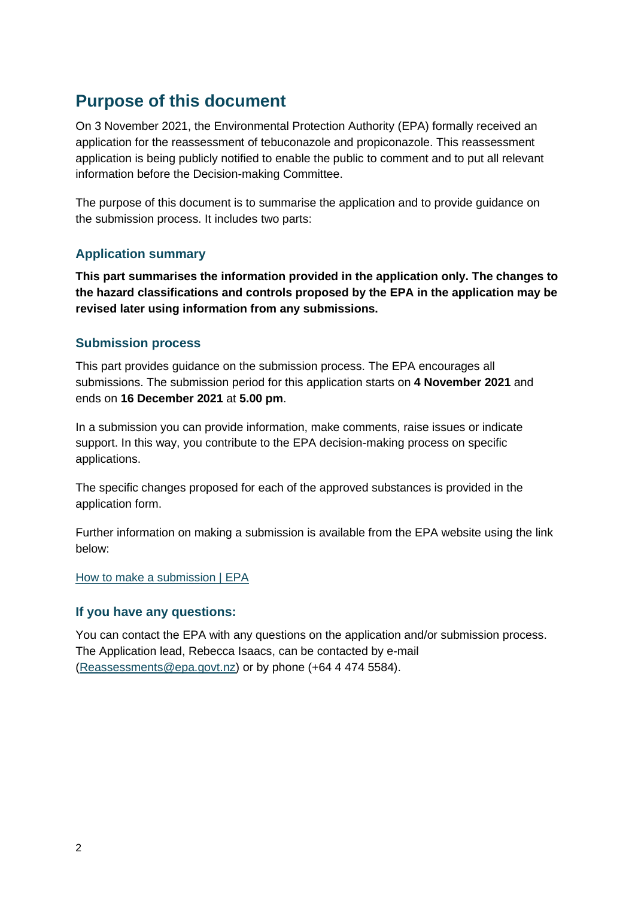# **Purpose of this document**

On 3 November 2021, the Environmental Protection Authority (EPA) formally received an application for the reassessment of tebuconazole and propiconazole. This reassessment application is being publicly notified to enable the public to comment and to put all relevant information before the Decision-making Committee.

The purpose of this document is to summarise the application and to provide guidance on the submission process. It includes two parts:

# **Application summary**

**This part summarises the information provided in the application only. The changes to the hazard classifications and controls proposed by the EPA in the application may be revised later using information from any submissions.**

# **Submission process**

This part provides guidance on the submission process. The EPA encourages all submissions. The submission period for this application starts on **4 November 2021** and ends on **16 December 2021** at **5.00 pm**.

In a submission you can provide information, make comments, raise issues or indicate support. In this way, you contribute to the EPA decision-making process on specific applications.

The specific changes proposed for each of the approved substances is provided in the application form.

Further information on making a submission is available from the EPA website using the link below:

[How to make a submission | EPA](https://www.epa.govt.nz/public-consultations/how-to-make-a-submission/)

# **If you have any questions:**

You can contact the EPA with any questions on the application and/or submission process. The Application lead, Rebecca Isaacs, can be contacted by e-mail [\(Reassessments@epa.govt.nz\)](mailto:Reassessments@epa.govt.nz) or by phone (+64 4 474 5584).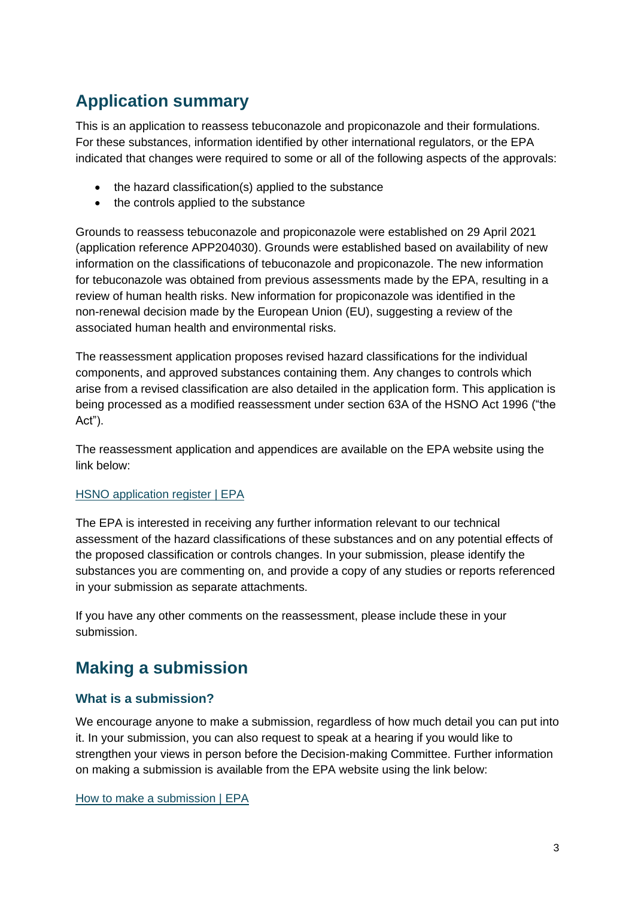# **Application summary**

This is an application to reassess tebuconazole and propiconazole and their formulations. For these substances, information identified by other international regulators, or the EPA indicated that changes were required to some or all of the following aspects of the approvals:

- the hazard classification(s) applied to the substance
- the controls applied to the substance

Grounds to reassess tebuconazole and propiconazole were established on 29 April 2021 (application reference APP204030). Grounds were established based on availability of new information on the classifications of tebuconazole and propiconazole. The new information for tebuconazole was obtained from previous assessments made by the EPA, resulting in a review of human health risks. New information for propiconazole was identified in the non-renewal decision made by the European Union (EU), suggesting a review of the associated human health and environmental risks.

The reassessment application proposes revised hazard classifications for the individual components, and approved substances containing them. Any changes to controls which arise from a revised classification are also detailed in the application form. This application is being processed as a modified reassessment under section 63A of the HSNO Act 1996 ("the Act").

The reassessment application and appendices are available on the EPA website using the link below:

#### [HSNO application register | EPA](https://www.epa.govt.nz/database-search/hsno-application-register/view/APP204244)

The EPA is interested in receiving any further information relevant to our technical assessment of the hazard classifications of these substances and on any potential effects of the proposed classification or controls changes. In your submission, please identify the substances you are commenting on, and provide a copy of any studies or reports referenced in your submission as separate attachments.

If you have any other comments on the reassessment, please include these in your submission.

# **Making a submission**

# **What is a submission?**

We encourage anyone to make a submission, regardless of how much detail you can put into it. In your submission, you can also request to speak at a hearing if you would like to strengthen your views in person before the Decision-making Committee. Further information on making a submission is available from the EPA website using the link below:

[How to make a submission | EPA](https://www.epa.govt.nz/public-consultations/how-to-make-a-submission/)